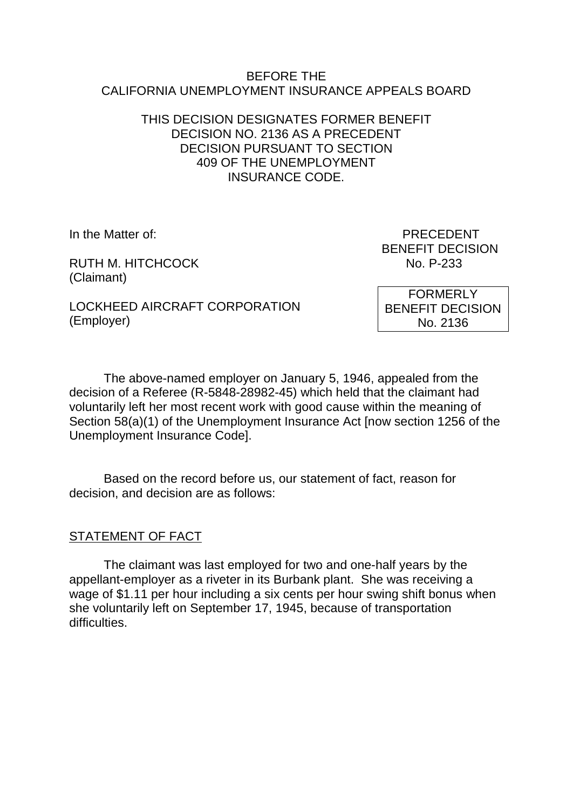#### BEFORE THE CALIFORNIA UNEMPLOYMENT INSURANCE APPEALS BOARD

## THIS DECISION DESIGNATES FORMER BENEFIT DECISION NO. 2136 AS A PRECEDENT DECISION PURSUANT TO SECTION 409 OF THE UNEMPLOYMENT INSURANCE CODE.

RUTH M. HITCHCOCK No. P-233 (Claimant)

In the Matter of: PRECEDENT BENEFIT DECISION

LOCKHEED AIRCRAFT CORPORATION (Employer)

FORMERLY BENEFIT DECISION No. 2136

The above-named employer on January 5, 1946, appealed from the decision of a Referee (R-5848-28982-45) which held that the claimant had voluntarily left her most recent work with good cause within the meaning of Section 58(a)(1) of the Unemployment Insurance Act [now section 1256 of the Unemployment Insurance Code].

Based on the record before us, our statement of fact, reason for decision, and decision are as follows:

# STATEMENT OF FACT

The claimant was last employed for two and one-half years by the appellant-employer as a riveter in its Burbank plant. She was receiving a wage of \$1.11 per hour including a six cents per hour swing shift bonus when she voluntarily left on September 17, 1945, because of transportation difficulties.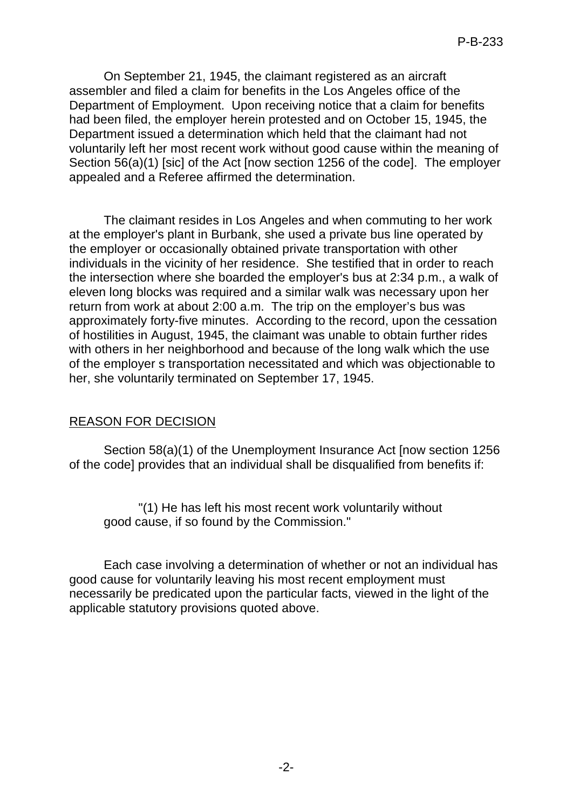On September 21, 1945, the claimant registered as an aircraft assembler and filed a claim for benefits in the Los Angeles office of the Department of Employment. Upon receiving notice that a claim for benefits had been filed, the employer herein protested and on October 15, 1945, the Department issued a determination which held that the claimant had not voluntarily left her most recent work without good cause within the meaning of Section 56(a)(1) [sic] of the Act [now section 1256 of the code]. The employer appealed and a Referee affirmed the determination.

The claimant resides in Los Angeles and when commuting to her work at the employer's plant in Burbank, she used a private bus line operated by the employer or occasionally obtained private transportation with other individuals in the vicinity of her residence. She testified that in order to reach the intersection where she boarded the employer's bus at 2:34 p.m., a walk of eleven long blocks was required and a similar walk was necessary upon her return from work at about 2:00 a.m. The trip on the employer's bus was approximately forty-five minutes. According to the record, upon the cessation of hostilities in August, 1945, the claimant was unable to obtain further rides with others in her neighborhood and because of the long walk which the use of the employer s transportation necessitated and which was objectionable to her, she voluntarily terminated on September 17, 1945.

#### REASON FOR DECISION

Section 58(a)(1) of the Unemployment Insurance Act [now section 1256 of the code] provides that an individual shall be disqualified from benefits if:

"(1) He has left his most recent work voluntarily without good cause, if so found by the Commission."

Each case involving a determination of whether or not an individual has good cause for voluntarily leaving his most recent employment must necessarily be predicated upon the particular facts, viewed in the light of the applicable statutory provisions quoted above.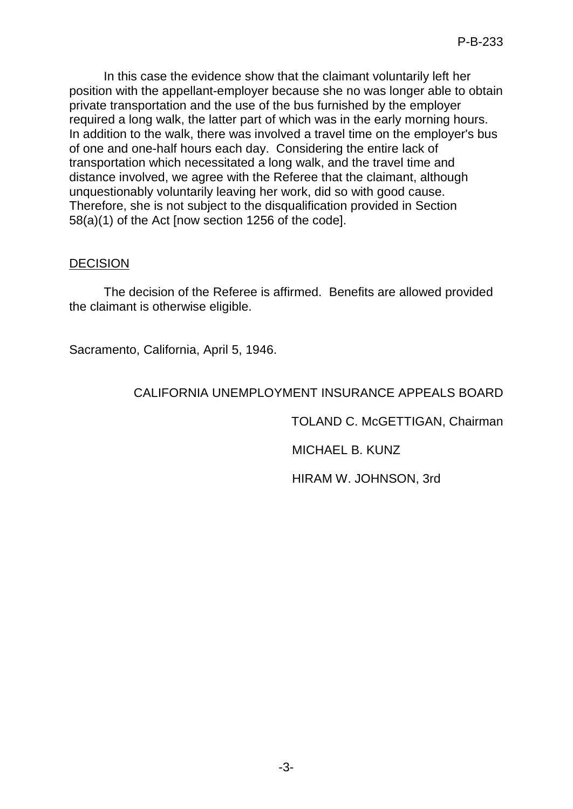In this case the evidence show that the claimant voluntarily left her position with the appellant-employer because she no was longer able to obtain private transportation and the use of the bus furnished by the employer required a long walk, the latter part of which was in the early morning hours. In addition to the walk, there was involved a travel time on the employer's bus of one and one-half hours each day. Considering the entire lack of transportation which necessitated a long walk, and the travel time and distance involved, we agree with the Referee that the claimant, although unquestionably voluntarily leaving her work, did so with good cause. Therefore, she is not subject to the disqualification provided in Section 58(a)(1) of the Act [now section 1256 of the code].

# **DECISION**

The decision of the Referee is affirmed. Benefits are allowed provided the claimant is otherwise eligible.

Sacramento, California, April 5, 1946.

# CALIFORNIA UNEMPLOYMENT INSURANCE APPEALS BOARD

TOLAND C. McGETTIGAN, Chairman

MICHAEL B. KUNZ

HIRAM W. JOHNSON, 3rd